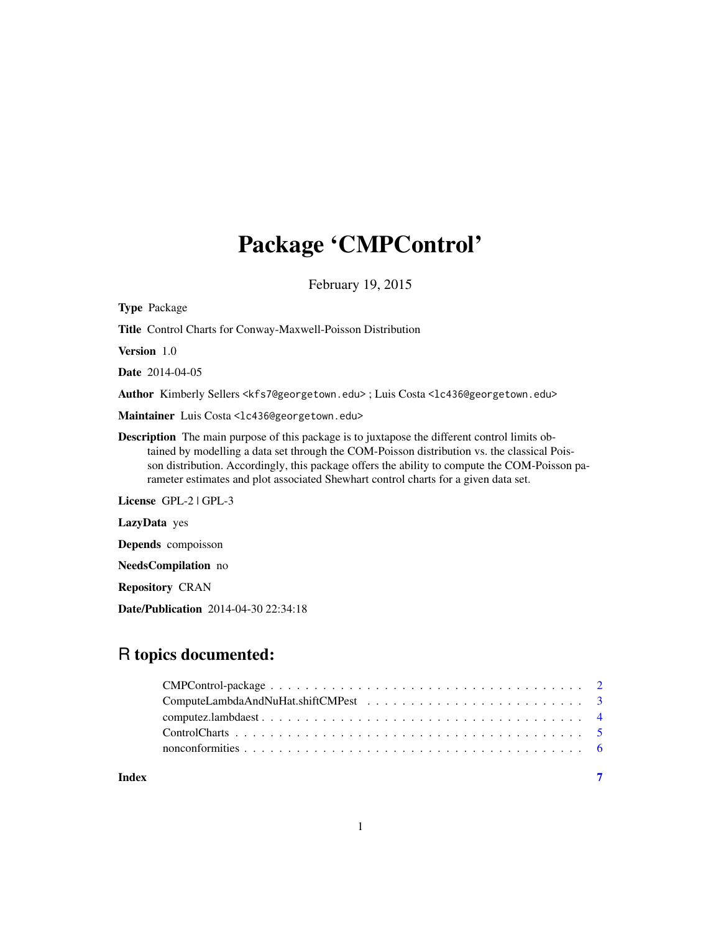# Package 'CMPControl'

February 19, 2015

| <b>Type Package</b>                                                                                                                                                                                                                                                                                                                                                                         |
|---------------------------------------------------------------------------------------------------------------------------------------------------------------------------------------------------------------------------------------------------------------------------------------------------------------------------------------------------------------------------------------------|
| <b>Title</b> Control Charts for Conway-Maxwell-Poisson Distribution                                                                                                                                                                                                                                                                                                                         |
| <b>Version</b> 1.0                                                                                                                                                                                                                                                                                                                                                                          |
| <b>Date</b> 2014-04-05                                                                                                                                                                                                                                                                                                                                                                      |
| Author Kimberly Sellers <kfs7@georgetown.edu>; Luis Costa &lt;1c436@georgetown.edu&gt;</kfs7@georgetown.edu>                                                                                                                                                                                                                                                                                |
| Maintainer Luis Costa <1c436@georgetown.edu>                                                                                                                                                                                                                                                                                                                                                |
| <b>Description</b> The main purpose of this package is to juxtapose the different control limits ob-<br>tained by modelling a data set through the COM-Poisson distribution vs. the classical Pois-<br>son distribution. Accordingly, this package offers the ability to compute the COM-Poisson pa-<br>rameter estimates and plot associated Shewhart control charts for a given data set. |
| License $GPL-2$   $GPL-3$                                                                                                                                                                                                                                                                                                                                                                   |
| <b>LazyData</b> yes                                                                                                                                                                                                                                                                                                                                                                         |
| <b>Depends</b> compoisson                                                                                                                                                                                                                                                                                                                                                                   |
| <b>NeedsCompilation</b> no                                                                                                                                                                                                                                                                                                                                                                  |
|                                                                                                                                                                                                                                                                                                                                                                                             |

Repository CRAN

Date/Publication 2014-04-30 22:34:18

# R topics documented:

| Index |  |  |
|-------|--|--|
|       |  |  |
|       |  |  |
|       |  |  |
|       |  |  |
|       |  |  |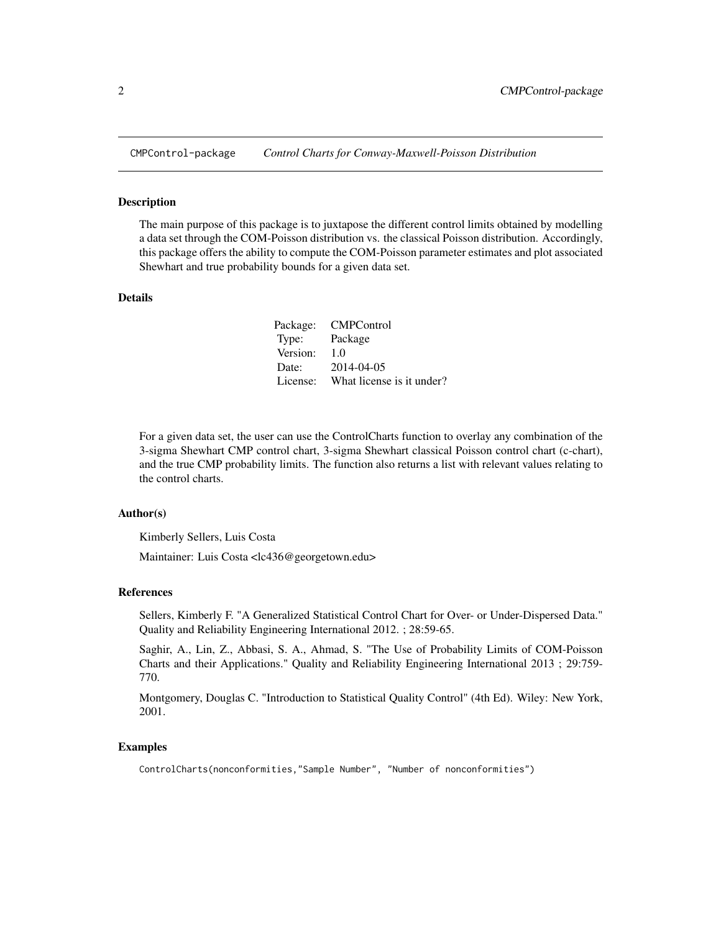<span id="page-1-0"></span>

### Description

The main purpose of this package is to juxtapose the different control limits obtained by modelling a data set through the COM-Poisson distribution vs. the classical Poisson distribution. Accordingly, this package offers the ability to compute the COM-Poisson parameter estimates and plot associated Shewhart and true probability bounds for a given data set.

# Details

|          | Package: CMPControl       |
|----------|---------------------------|
| Type:    | Package                   |
| Version: | 1.0                       |
| Date:    | 2014-04-05                |
| License: | What license is it under? |

For a given data set, the user can use the ControlCharts function to overlay any combination of the 3-sigma Shewhart CMP control chart, 3-sigma Shewhart classical Poisson control chart (c-chart), and the true CMP probability limits. The function also returns a list with relevant values relating to the control charts.

#### Author(s)

Kimberly Sellers, Luis Costa

Maintainer: Luis Costa <lc436@georgetown.edu>

# References

Sellers, Kimberly F. "A Generalized Statistical Control Chart for Over- or Under-Dispersed Data." Quality and Reliability Engineering International 2012. ; 28:59-65.

Saghir, A., Lin, Z., Abbasi, S. A., Ahmad, S. "The Use of Probability Limits of COM-Poisson Charts and their Applications." Quality and Reliability Engineering International 2013 ; 29:759- 770.

Montgomery, Douglas C. "Introduction to Statistical Quality Control" (4th Ed). Wiley: New York, 2001.

# Examples

ControlCharts(nonconformities,"Sample Number", "Number of nonconformities")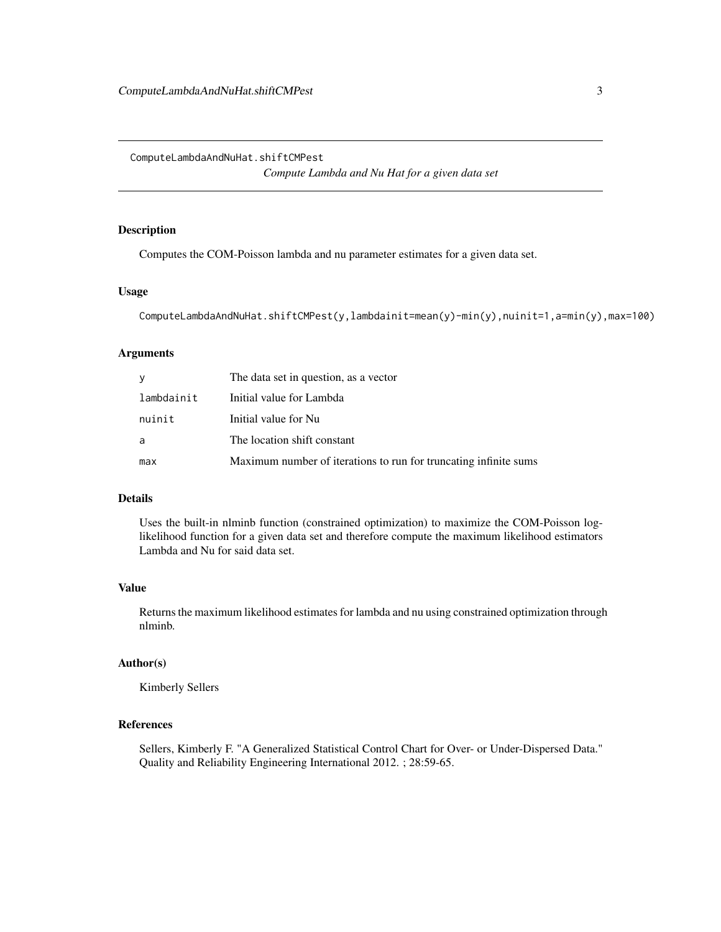<span id="page-2-0"></span>ComputeLambdaAndNuHat.shiftCMPest

*Compute Lambda and Nu Hat for a given data set*

# Description

Computes the COM-Poisson lambda and nu parameter estimates for a given data set.

### Usage

```
ComputeLambdaAndNuHat.shiftCMPest(y,lambdainit=mean(y)-min(y),nuinit=1,a=min(y),max=100)
```
# Arguments

| У          | The data set in question, as a vector                            |
|------------|------------------------------------------------------------------|
| lambdainit | Initial value for Lambda                                         |
| nuinit     | Initial value for Nu                                             |
| a          | The location shift constant                                      |
| max        | Maximum number of iterations to run for truncating infinite sums |

# Details

Uses the built-in nlminb function (constrained optimization) to maximize the COM-Poisson loglikelihood function for a given data set and therefore compute the maximum likelihood estimators Lambda and Nu for said data set.

# Value

Returns the maximum likelihood estimates for lambda and nu using constrained optimization through nlminb.

### Author(s)

Kimberly Sellers

# References

Sellers, Kimberly F. "A Generalized Statistical Control Chart for Over- or Under-Dispersed Data." Quality and Reliability Engineering International 2012. ; 28:59-65.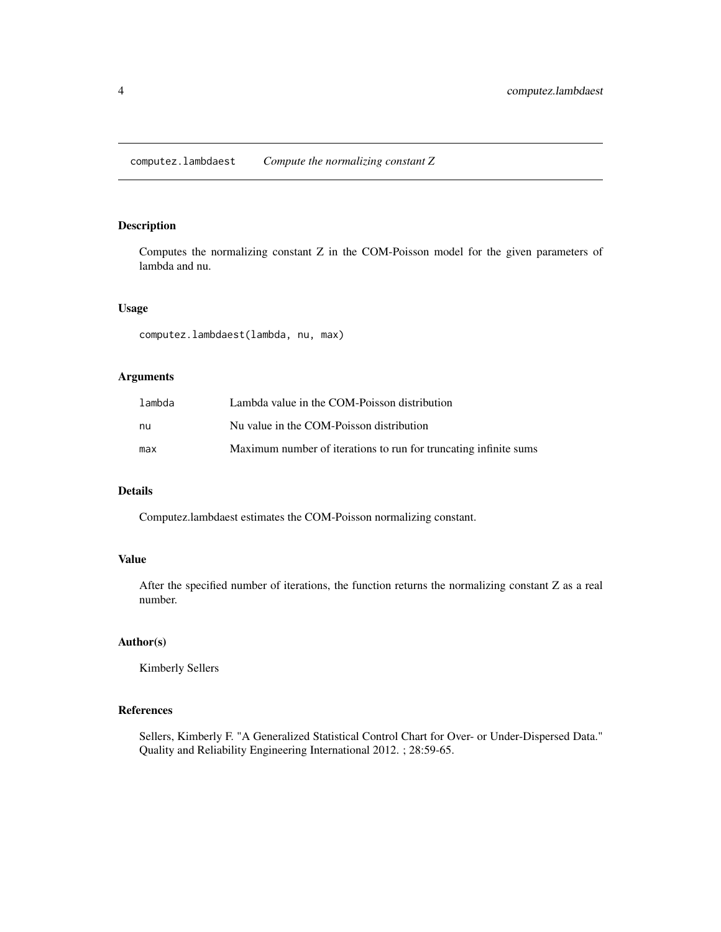<span id="page-3-0"></span>computez.lambdaest *Compute the normalizing constant Z*

# Description

Computes the normalizing constant Z in the COM-Poisson model for the given parameters of lambda and nu.

# Usage

computez.lambdaest(lambda, nu, max)

# Arguments

| lambda | Lambda value in the COM-Poisson distribution                     |
|--------|------------------------------------------------------------------|
| nu     | Nu value in the COM-Poisson distribution                         |
| max    | Maximum number of iterations to run for truncating infinite sums |

# Details

Computez.lambdaest estimates the COM-Poisson normalizing constant.

# Value

After the specified number of iterations, the function returns the normalizing constant Z as a real number.

# Author(s)

Kimberly Sellers

## References

Sellers, Kimberly F. "A Generalized Statistical Control Chart for Over- or Under-Dispersed Data." Quality and Reliability Engineering International 2012. ; 28:59-65.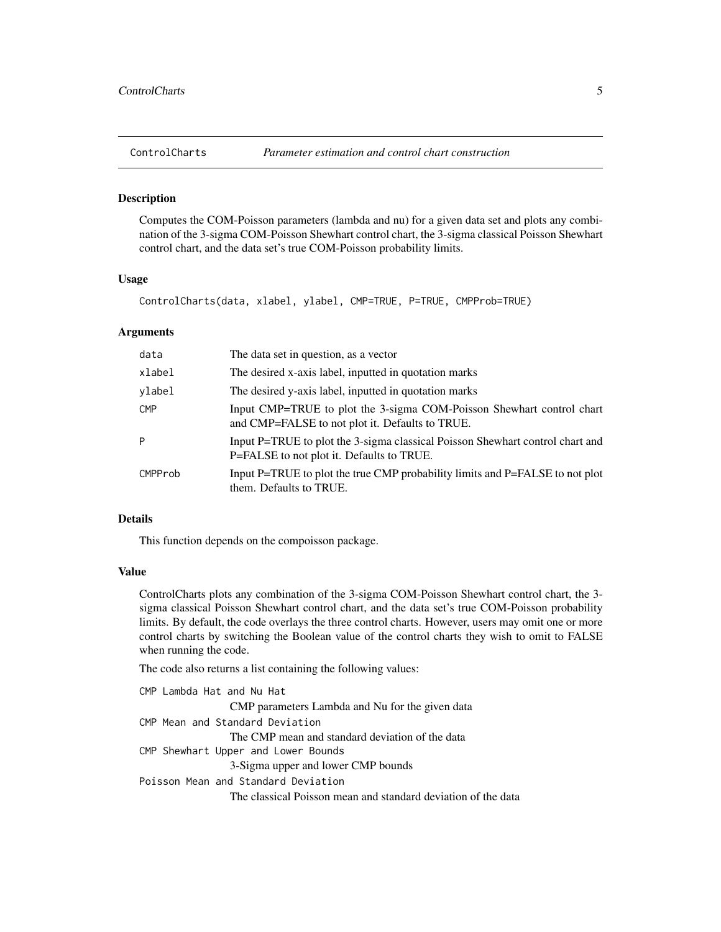<span id="page-4-0"></span>

#### Description

Computes the COM-Poisson parameters (lambda and nu) for a given data set and plots any combination of the 3-sigma COM-Poisson Shewhart control chart, the 3-sigma classical Poisson Shewhart control chart, and the data set's true COM-Poisson probability limits.

### Usage

ControlCharts(data, xlabel, ylabel, CMP=TRUE, P=TRUE, CMPProb=TRUE)

#### Arguments

| data       | The data set in question, as a vector                                                                                      |
|------------|----------------------------------------------------------------------------------------------------------------------------|
| xlabel     | The desired x-axis label, inputted in quotation marks                                                                      |
| vlabel     | The desired y-axis label, inputted in quotation marks                                                                      |
| <b>CMP</b> | Input CMP=TRUE to plot the 3-sigma COM-Poisson Shewhart control chart<br>and CMP=FALSE to not plot it. Defaults to TRUE.   |
| P          | Input P=TRUE to plot the 3-sigma classical Poisson Shewhart control chart and<br>P=FALSE to not plot it. Defaults to TRUE. |
| CMPProb    | Input P=TRUE to plot the true CMP probability limits and P=FALSE to not plot<br>them. Defaults to TRUE.                    |

### Details

This function depends on the compoisson package.

# Value

ControlCharts plots any combination of the 3-sigma COM-Poisson Shewhart control chart, the 3 sigma classical Poisson Shewhart control chart, and the data set's true COM-Poisson probability limits. By default, the code overlays the three control charts. However, users may omit one or more control charts by switching the Boolean value of the control charts they wish to omit to FALSE when running the code.

The code also returns a list containing the following values:

```
CMP Lambda Hat and Nu Hat
                CMP parameters Lambda and Nu for the given data
CMP Mean and Standard Deviation
                The CMP mean and standard deviation of the data
CMP Shewhart Upper and Lower Bounds
                3-Sigma upper and lower CMP bounds
Poisson Mean and Standard Deviation
                The classical Poisson mean and standard deviation of the data
```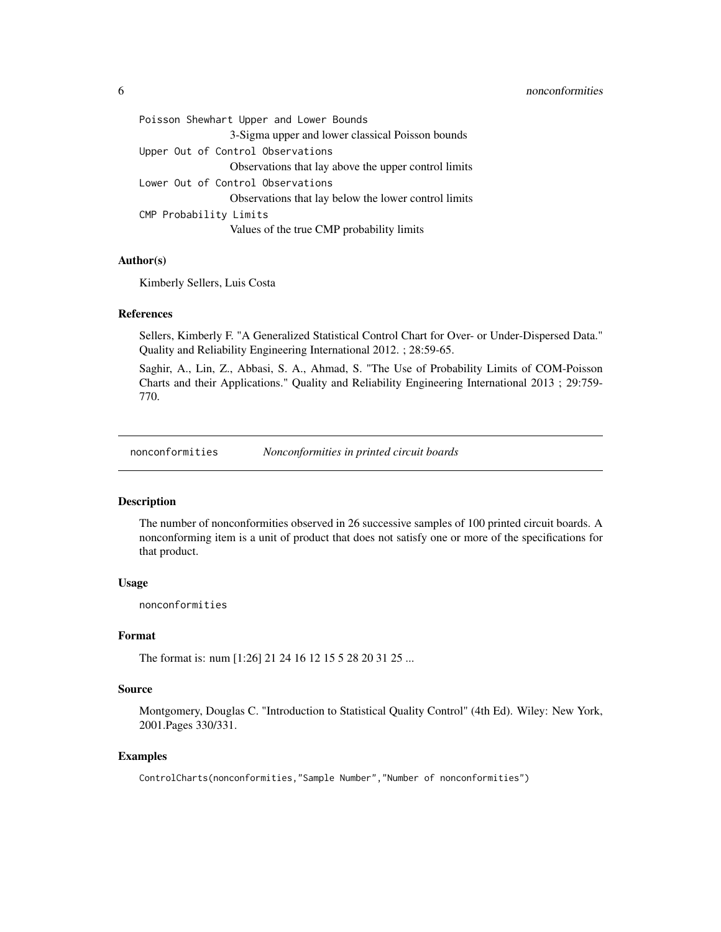<span id="page-5-0"></span>

| Poisson Shewhart Upper and Lower Bounds              |  |
|------------------------------------------------------|--|
| 3-Sigma upper and lower classical Poisson bounds     |  |
| Upper Out of Control Observations                    |  |
| Observations that lay above the upper control limits |  |
| Lower Out of Control Observations                    |  |
| Observations that lay below the lower control limits |  |
| CMP Probability Limits                               |  |
| Values of the true CMP probability limits            |  |

# Author(s)

Kimberly Sellers, Luis Costa

### References

Sellers, Kimberly F. "A Generalized Statistical Control Chart for Over- or Under-Dispersed Data." Quality and Reliability Engineering International 2012. ; 28:59-65.

Saghir, A., Lin, Z., Abbasi, S. A., Ahmad, S. "The Use of Probability Limits of COM-Poisson Charts and their Applications." Quality and Reliability Engineering International 2013 ; 29:759- 770.

nonconformities *Nonconformities in printed circuit boards*

# Description

The number of nonconformities observed in 26 successive samples of 100 printed circuit boards. A nonconforming item is a unit of product that does not satisfy one or more of the specifications for that product.

# Usage

nonconformities

#### Format

The format is: num [1:26] 21 24 16 12 15 5 28 20 31 25 ...

# Source

Montgomery, Douglas C. "Introduction to Statistical Quality Control" (4th Ed). Wiley: New York, 2001.Pages 330/331.

# Examples

ControlCharts(nonconformities,"Sample Number","Number of nonconformities")